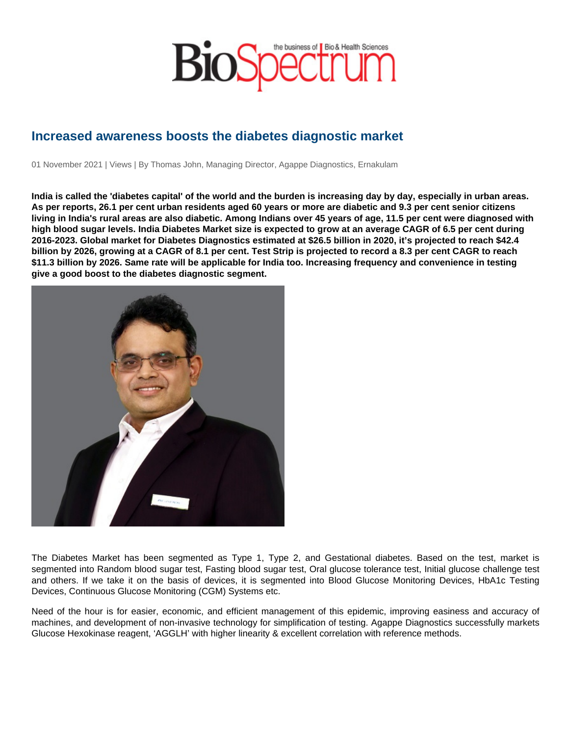# Increased awareness boosts the diabetes diagnostic market

01 November 2021 | Views | By Thomas John, Managing Director, Agappe Diagnostics, Ernakulam

India is called the 'diabetes capital' of the world and the burden is increasing day by day, especially in urban areas. As per reports, 26.1 per cent urban residents aged 60 years or more are diabetic and 9.3 per cent senior citizens living in India's rural areas are also diabetic. Among Indians over 45 years of age, 11.5 per cent were diagnosed with high blood sugar levels. India Diabetes Market size is expected to grow at an average CAGR of 6.5 per cent during 2016-2023. Global market for Diabetes Diagnostics estimated at \$26.5 billion in 2020, it's projected to reach \$42.4 billion by 2026, growing at a CAGR of 8.1 per cent. Test Strip is projected to record a 8.3 per cent CAGR to reach \$11.3 billion by 2026. Same rate will be applicable for India too. Increasing frequency and convenience in testing give a good boost to the diabetes diagnostic segment.

The Diabetes Market has been segmented as Type 1, Type 2, and Gestational diabetes. Based on the test, market is segmented into Random blood sugar test, Fasting blood sugar test, Oral glucose tolerance test, Initial glucose challenge test and others. If we take it on the basis of devices, it is segmented into Blood Glucose Monitoring Devices, HbA1c Testing Devices, Continuous Glucose Monitoring (CGM) Systems etc.

Need of the hour is for easier, economic, and efficient management of this epidemic, improving easiness and accuracy of machines, and development of non-invasive technology for simplification of testing. Agappe Diagnostics successfully markets Glucose Hexokinase reagent, 'AGGLH' with higher linearity & excellent correlation with reference methods.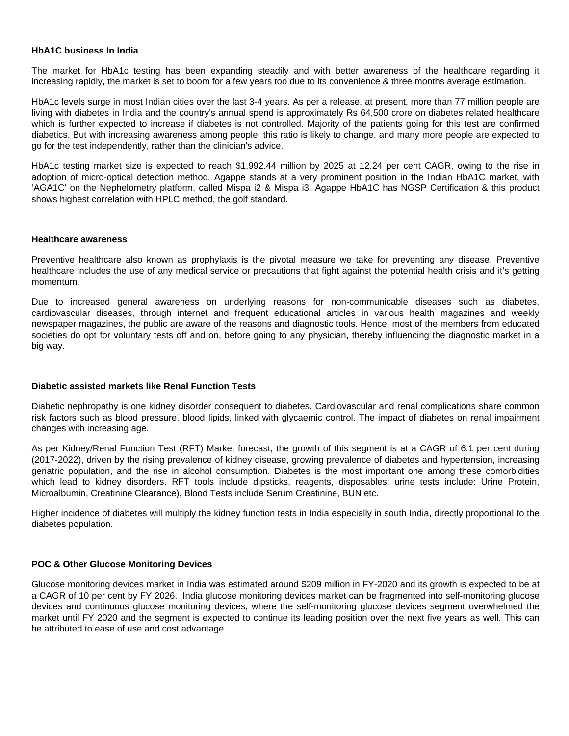## **HbA1C business In India**

The market for HbA1c testing has been expanding steadily and with better awareness of the healthcare regarding it increasing rapidly, the market is set to boom for a few years too due to its convenience & three months average estimation.

HbA1c levels surge in most Indian cities over the last 3-4 years. As per a release, at present, more than 77 million people are living with diabetes in India and the country's annual spend is approximately Rs 64,500 crore on diabetes related healthcare which is further expected to increase if diabetes is not controlled. Majority of the patients going for this test are confirmed diabetics. But with increasing awareness among people, this ratio is likely to change, and many more people are expected to go for the test independently, rather than the clinician's advice.

HbA1c testing market size is expected to reach \$1,992.44 million by 2025 at 12.24 per cent CAGR, owing to the rise in adoption of micro-optical detection method. Agappe stands at a very prominent position in the Indian HbA1C market, with 'AGA1C' on the Nephelometry platform, called Mispa i2 & Mispa i3. Agappe HbA1C has NGSP Certification & this product shows highest correlation with HPLC method, the golf standard.

#### **Healthcare awareness**

Preventive healthcare also known as prophylaxis is the pivotal measure we take for preventing any disease. Preventive healthcare includes the use of any medical service or precautions that fight against the potential health crisis and it's getting momentum.

Due to increased general awareness on underlying reasons for non-communicable diseases such as diabetes, cardiovascular diseases, through internet and frequent educational articles in various health magazines and weekly newspaper magazines, the public are aware of the reasons and diagnostic tools. Hence, most of the members from educated societies do opt for voluntary tests off and on, before going to any physician, thereby influencing the diagnostic market in a big way.

## **Diabetic assisted markets like Renal Function Tests**

Diabetic nephropathy is one kidney disorder consequent to diabetes. Cardiovascular and renal complications share common risk factors such as blood pressure, blood lipids, linked with glycaemic control. The impact of diabetes on renal impairment changes with increasing age.

As per Kidney/Renal Function Test (RFT) Market forecast, the growth of this segment is at a CAGR of 6.1 per cent during (2017-2022), driven by the rising prevalence of kidney disease, growing prevalence of diabetes and hypertension, increasing geriatric population, and the rise in alcohol consumption. Diabetes is the most important one among these comorbidities which lead to kidney disorders. RFT tools include dipsticks, reagents, disposables; urine tests include: Urine Protein, Microalbumin, Creatinine Clearance), Blood Tests include Serum Creatinine, BUN etc.

Higher incidence of diabetes will multiply the kidney function tests in India especially in south India, directly proportional to the diabetes population.

#### **POC & Other Glucose Monitoring Devices**

Glucose monitoring devices market in India was estimated around \$209 million in FY-2020 and its growth is expected to be at a CAGR of 10 per cent by FY 2026. India glucose monitoring devices market can be fragmented into self-monitoring glucose devices and continuous glucose monitoring devices, where the self-monitoring glucose devices segment overwhelmed the market until FY 2020 and the segment is expected to continue its leading position over the next five years as well. This can be attributed to ease of use and cost advantage.